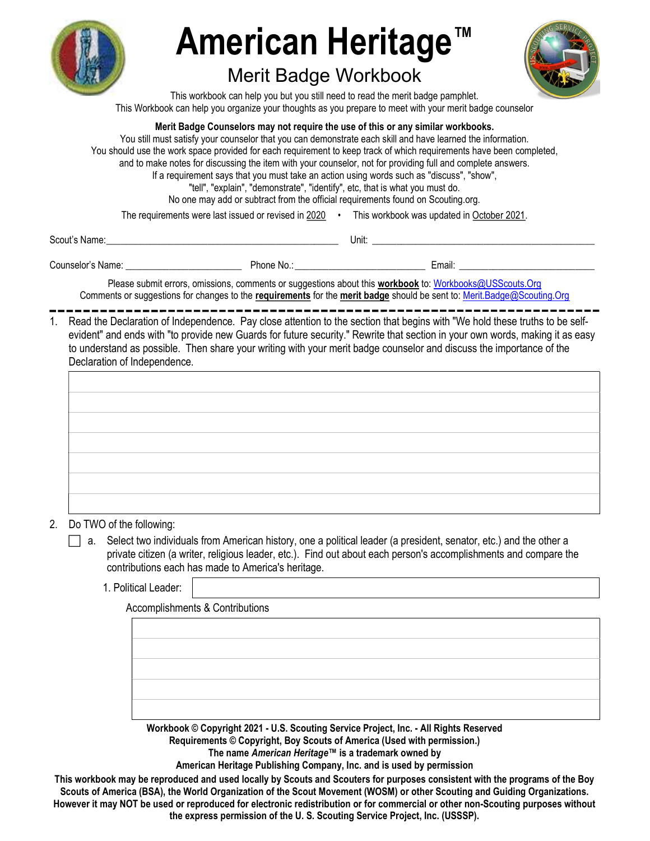

# American Heritage

# Merit Badge Workbook



This workbook can help you but you still need to read the merit badge pamphlet. This Workbook can help you organize your thoughts as you prepare to meet with your merit badge counselor

Merit Badge Counselors may not require the use of this or any similar workbooks.

You still must satisfy your counselor that you can demonstrate each skill and have learned the information. You should use the work space provided for each requirement to keep track of which requirements have been completed, and to make notes for discussing the item with your counselor, not for providing full and complete answers. If a requirement says that you must take an action using words such as "discuss", "show", "tell", "explain", "demonstrate", "identify", etc, that is what you must do. No one may add or subtract from the official requirements found on Scouting.org.

The requirements were last issued or revised in 2020 • This workbook was updated in October 2021.

Scout's Name: \_\_\_\_\_\_\_\_\_\_\_\_\_\_\_\_\_\_\_\_\_\_\_\_\_\_\_\_\_\_\_\_\_\_\_\_\_\_\_\_\_\_\_\_\_\_\_\_ Unit: \_\_\_\_\_\_\_\_\_\_\_\_\_\_\_\_\_\_\_\_\_\_\_\_\_\_\_\_\_\_\_\_\_\_\_\_\_\_\_\_\_\_\_\_\_\_

Counselor's Name: \_\_\_\_\_\_\_\_\_\_\_\_\_\_\_\_\_\_\_\_\_\_\_\_ Phone No.: \_\_\_\_\_\_\_\_\_\_\_\_\_\_\_\_\_\_\_\_\_\_\_\_\_\_\_ Email: \_\_\_\_\_\_\_\_\_\_\_\_\_\_\_\_\_\_\_\_\_\_\_\_\_\_\_\_

Please submit errors, omissions, comments or suggestions about this workbook to: Workbooks@USScouts.Org Comments or suggestions for changes to the requirements for the merit badge should be sent to: Merit.Badge@Scouting.Org

1. Read the Declaration of Independence. Pay close attention to the section that begins with "We hold these truths to be selfevident" and ends with "to provide new Guards for future security." Rewrite that section in your own words, making it as easy to understand as possible. Then share your writing with your merit badge counselor and discuss the importance of the Declaration of Independence.

| ,我们也不会不会不会。""我们的,我们也不会不会不会。""我们的,我们也不会不会不会不会。""我们的,我们也不会不会不会不会。""我们的,我们也不会不会不会不会 |  |
|----------------------------------------------------------------------------------|--|
|                                                                                  |  |

2. Do TWO of the following:

a. Select two individuals from American history, one a political leader (a president, senator, etc.) and the other a private citizen (a writer, religious leader, etc.). Find out about each person's accomplishments and compare the contributions each has made to America's heritage.

1. Political Leader:

Accomplishments & Contributions

Workbook © Copyright 2021 - U.S. Scouting Service Project, Inc. - All Rights Reserved Requirements © Copyright, Boy Scouts of America (Used with permission.) The name American Heritage™ is a trademark owned by

American Heritage Publishing Company, Inc. and is used by permission

This workbook may be reproduced and used locally by Scouts and Scouters for purposes consistent with the programs of the Boy Scouts of America (BSA), the World Organization of the Scout Movement (WOSM) or other Scouting and Guiding Organizations. However it may NOT be used or reproduced for electronic redistribution or for commercial or other non-Scouting purposes without the express permission of the U. S. Scouting Service Project, Inc. (USSSP).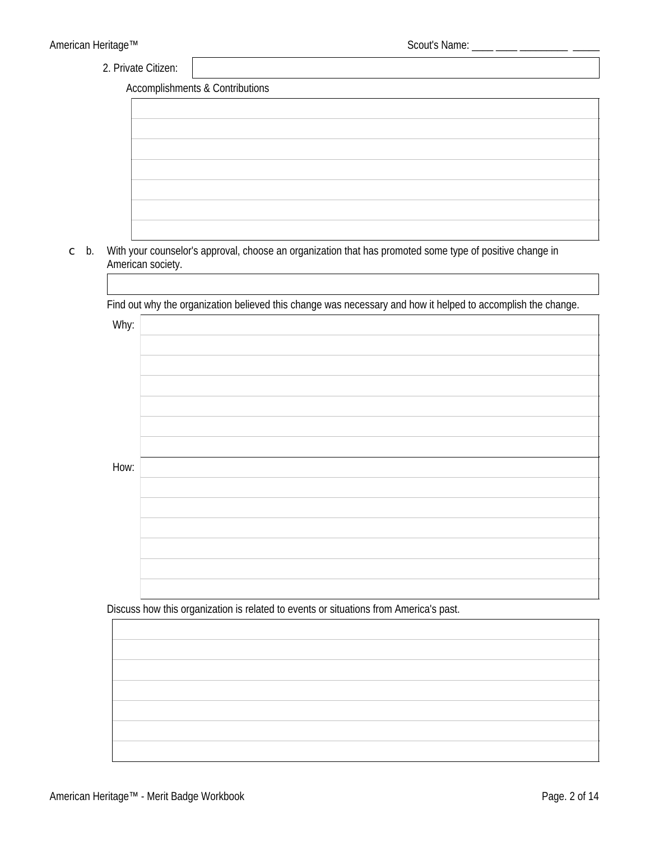2. Private Citizen:

**Accomplishments & Contributions** 

| the control of the control of the control of the control of the control of |                                                                            |  |  |
|----------------------------------------------------------------------------|----------------------------------------------------------------------------|--|--|
|                                                                            |                                                                            |  |  |
|                                                                            |                                                                            |  |  |
|                                                                            |                                                                            |  |  |
|                                                                            |                                                                            |  |  |
|                                                                            | the control of the control of the control of the control of the control of |  |  |
|                                                                            |                                                                            |  |  |
|                                                                            |                                                                            |  |  |
|                                                                            |                                                                            |  |  |
|                                                                            |                                                                            |  |  |
|                                                                            |                                                                            |  |  |
|                                                                            |                                                                            |  |  |
|                                                                            |                                                                            |  |  |
|                                                                            |                                                                            |  |  |
|                                                                            |                                                                            |  |  |
|                                                                            |                                                                            |  |  |
|                                                                            |                                                                            |  |  |
|                                                                            |                                                                            |  |  |
|                                                                            |                                                                            |  |  |
|                                                                            |                                                                            |  |  |
|                                                                            |                                                                            |  |  |
|                                                                            |                                                                            |  |  |
|                                                                            |                                                                            |  |  |
|                                                                            |                                                                            |  |  |
|                                                                            |                                                                            |  |  |
|                                                                            |                                                                            |  |  |
|                                                                            |                                                                            |  |  |
|                                                                            |                                                                            |  |  |
|                                                                            |                                                                            |  |  |
|                                                                            |                                                                            |  |  |
|                                                                            |                                                                            |  |  |

c b. With your counselor's approval, choose an organization that has promoted some type of positive change in American society.

Find out why the organization believed this change was necessary and how it helped to accomplish the change.

| Why: |  |
|------|--|
|      |  |
|      |  |
|      |  |
|      |  |
|      |  |
|      |  |
| How: |  |
|      |  |
|      |  |
|      |  |
|      |  |
|      |  |
|      |  |

Discuss how this organization is related to events or situations from America's past.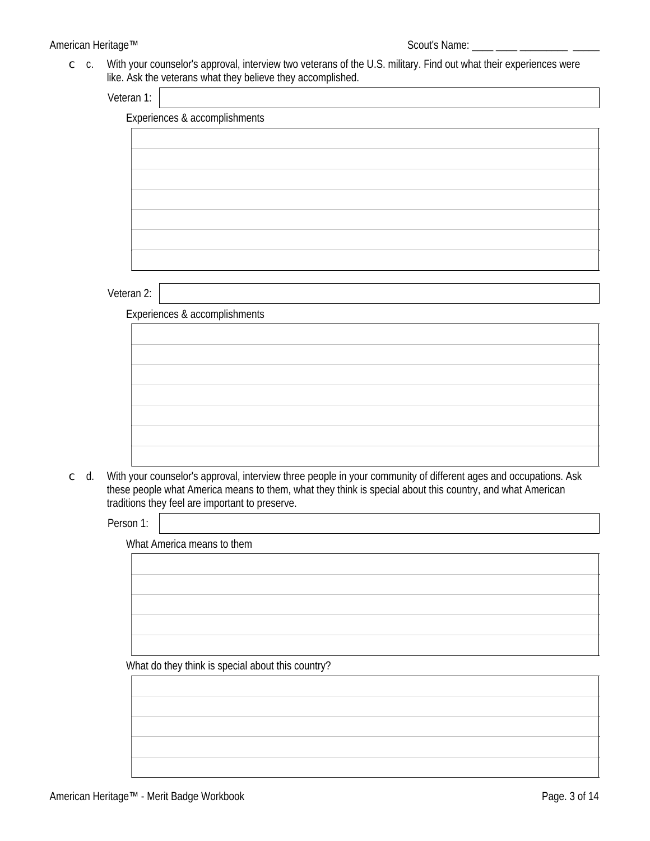#### American Heritage™

c c. With your counselor's approval, interview two veterans of the U.S. military. Find out what their experiences were like. Ask the veterans what they believe they accomplished.

| Veteran 1: |  |
|------------|--|
|            |  |

| <b>Experiences &amp; accomplishments</b> |  |  |
|------------------------------------------|--|--|
|                                          |  |  |
|                                          |  |  |
|                                          |  |  |
|                                          |  |  |
|                                          |  |  |
|                                          |  |  |
|                                          |  |  |
|                                          |  |  |
|                                          |  |  |
|                                          |  |  |
|                                          |  |  |
|                                          |  |  |

#### Veteran 2:

**Experiences & accomplishments** 

 $\subset$  d. With your counselor's approval, interview three people in your community of different ages and occupations. Ask these people what America means to them, what they think is special about this country, and what American traditions they feel are important to preserve.

Person 1:

What America means to them

| ויוסו אוווכווטם וווכסווט ש נווכווו |  |  |
|------------------------------------|--|--|
|                                    |  |  |
|                                    |  |  |
|                                    |  |  |
|                                    |  |  |
|                                    |  |  |
|                                    |  |  |
|                                    |  |  |
|                                    |  |  |
|                                    |  |  |

What do they think is special about this country?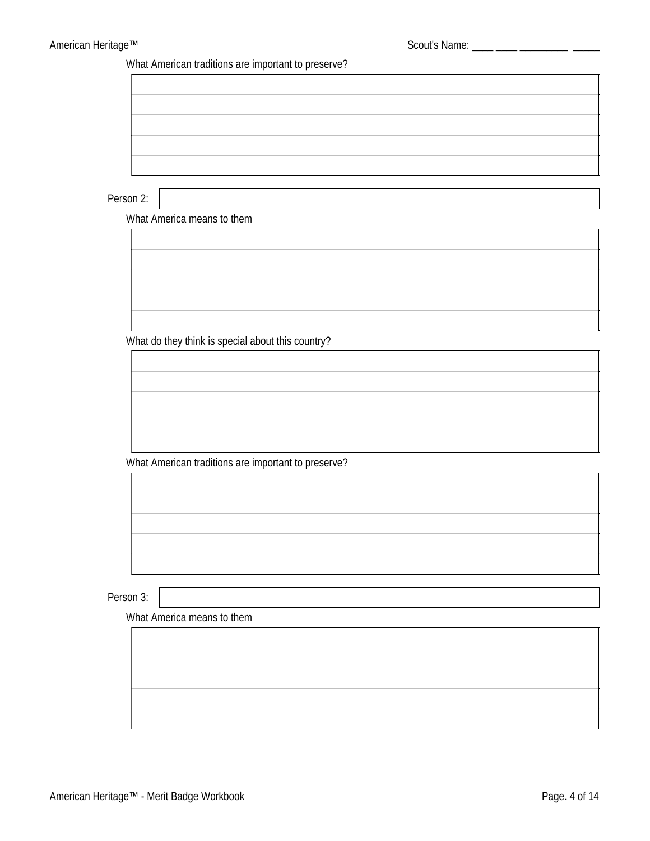What American traditions are important to preserve?

Person 2:

What America means to them



What do they think is special about this country?

What American traditions are important to preserve?

Person 3:

What America means to them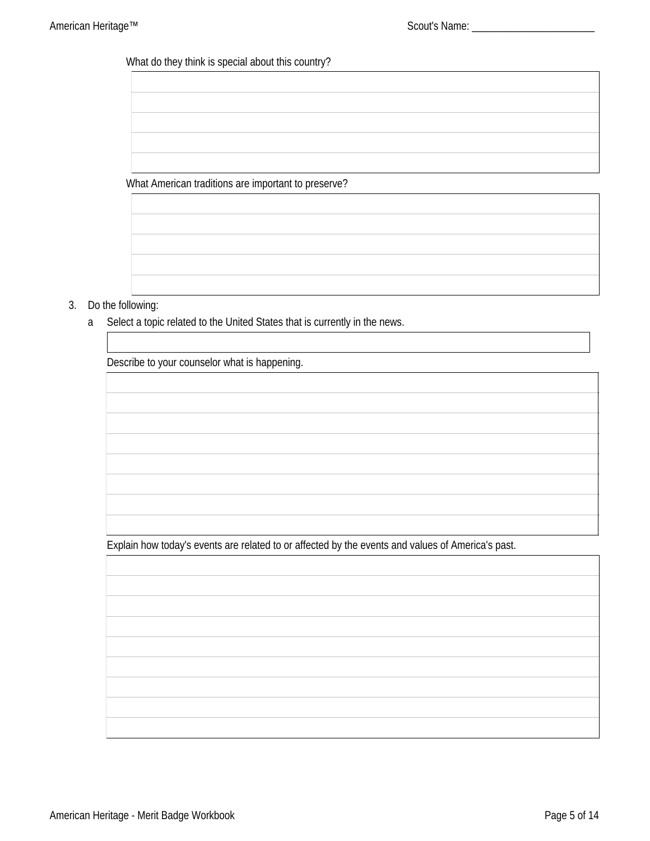# What do they think is special about this country?

What American traditions are important to preserve?



## 3. Do the following:

Select a topic related to the United States that is currently in the news.  $\mathbf{a}$ 

Describe to your counselor what is happening.

Explain how today's events are related to or affected by the events and values of America's past.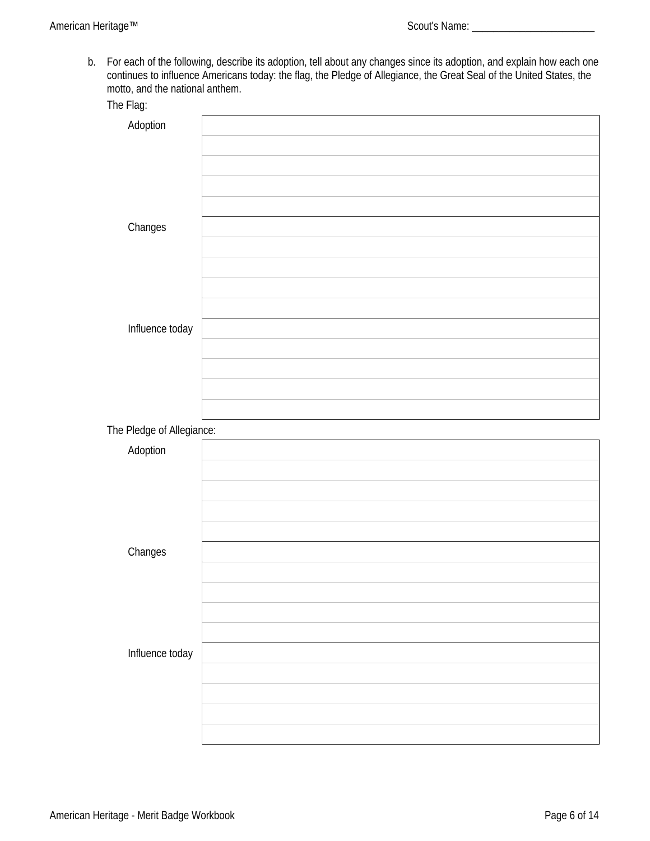b. For each of the following, describe its adoption, tell about any changes since its adoption, and explain how each one continues to influence Americans today: the flag, the Pledge of Allegiance, the Great Seal of the Uni motto, and the national anthem.

| The Flag:                 |  |
|---------------------------|--|
| Adoption                  |  |
|                           |  |
|                           |  |
|                           |  |
|                           |  |
| Changes                   |  |
|                           |  |
|                           |  |
|                           |  |
|                           |  |
| Influence today           |  |
|                           |  |
|                           |  |
|                           |  |
|                           |  |
| The Pledge of Allegiance: |  |
| Adoption                  |  |
|                           |  |
|                           |  |
|                           |  |
|                           |  |
| Changes                   |  |
|                           |  |
|                           |  |
|                           |  |
|                           |  |
|                           |  |
| Influence today           |  |
|                           |  |
|                           |  |
|                           |  |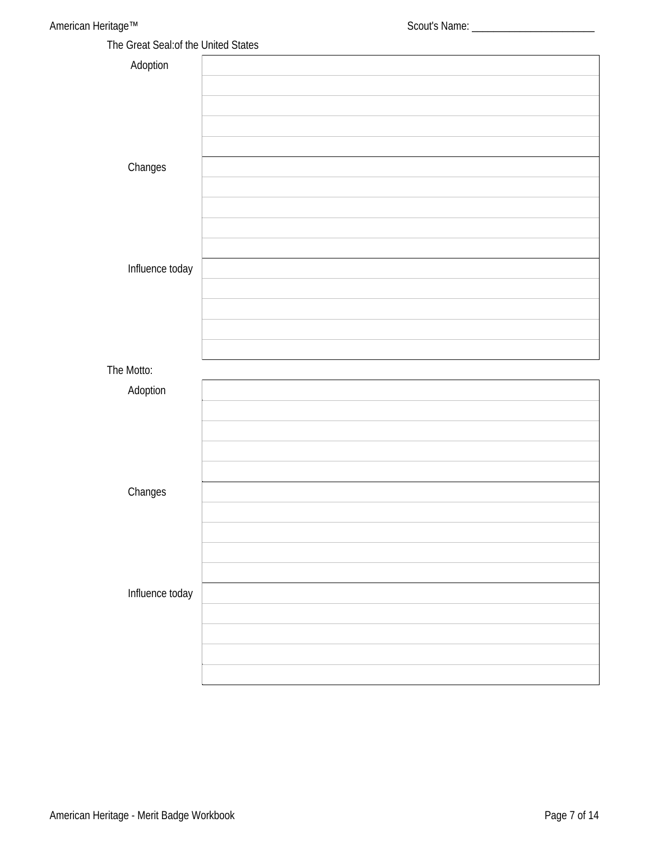The Great Seal: of the United States

| The order oceans are online orders |  |
|------------------------------------|--|
| Adoption                           |  |
|                                    |  |
|                                    |  |
|                                    |  |
|                                    |  |
| Changes                            |  |
|                                    |  |
|                                    |  |
|                                    |  |
|                                    |  |
| Influence today                    |  |
|                                    |  |
|                                    |  |
|                                    |  |
|                                    |  |
| The Motto:                         |  |
| Adoption                           |  |
|                                    |  |
|                                    |  |
|                                    |  |
|                                    |  |
| Changes                            |  |
|                                    |  |
|                                    |  |
|                                    |  |
|                                    |  |
| Influence today                    |  |
|                                    |  |
|                                    |  |
|                                    |  |
|                                    |  |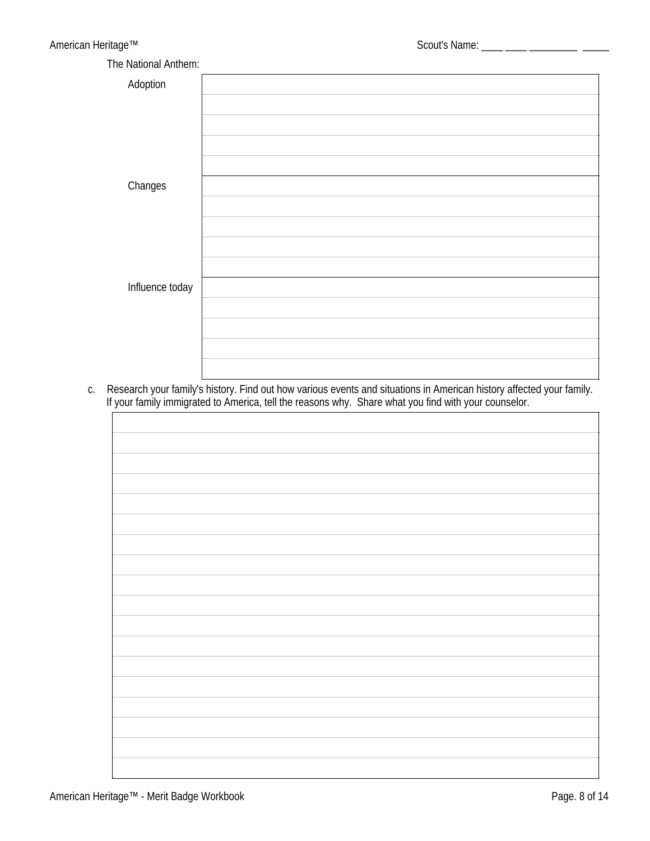| The National Anthem: |  |
|----------------------|--|
| Adoption             |  |
|                      |  |
|                      |  |
|                      |  |
|                      |  |
| Changes              |  |
|                      |  |
|                      |  |
|                      |  |
|                      |  |
| Influence today      |  |
|                      |  |
|                      |  |
|                      |  |
|                      |  |

c. Research your family's history. Find out how various events and situations in American history affected your family.<br>If your family immigrated to America, tell the reasons why. Share what you find with your counselor.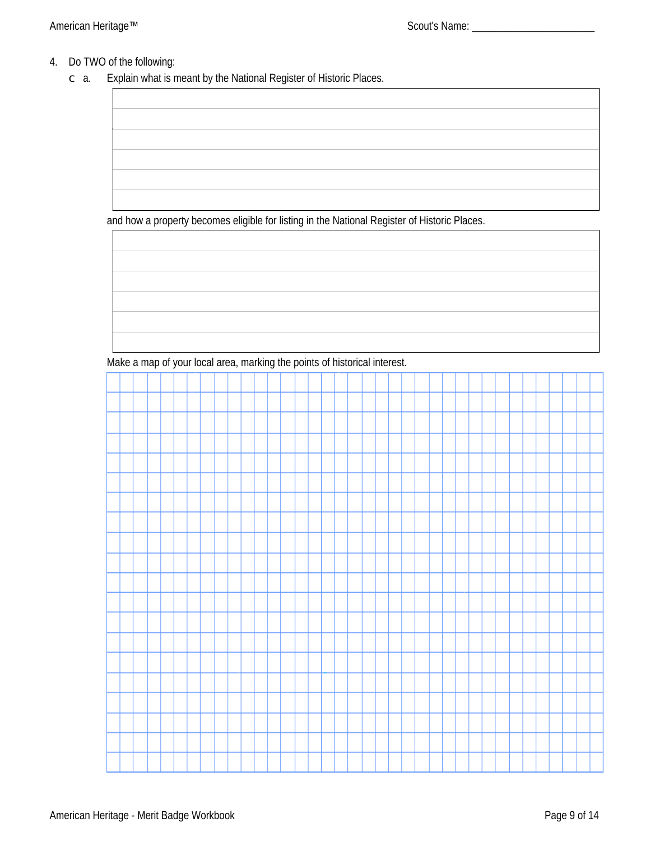# 4. Do TWO of the following:

Explain what is meant by the National Register of Historic Places.  $\subset$  a.

and how a property becomes eligible for listing in the National Register of Historic Places.

Make a map of your local area, marking the points of historical interest.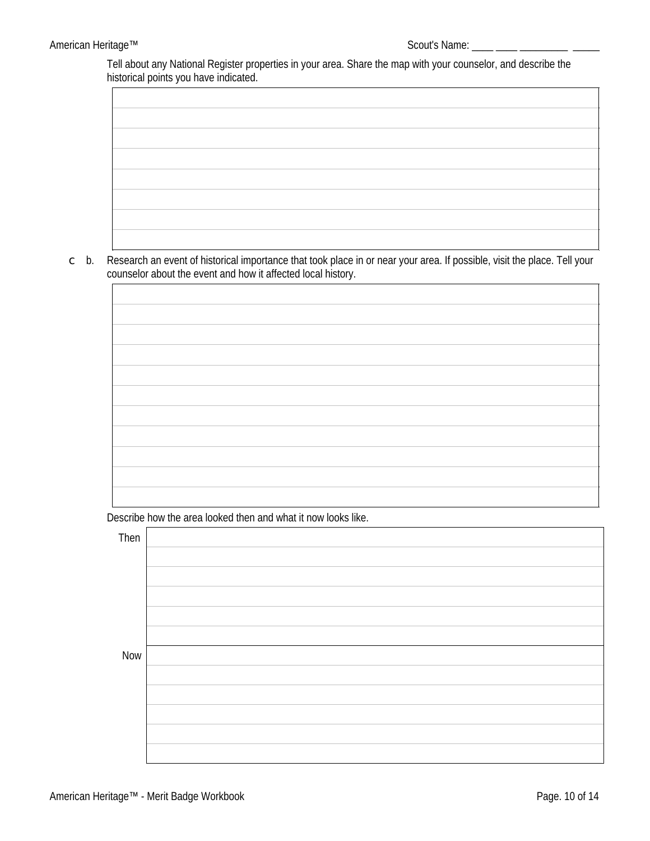Tell about any National Register properties in your area. Share the map with your counselor, and describe the historical points you have indicated.



Research an event of historical importance that took place in or near your area. If possible, visit the place. Tell your  $\subset$  b. counselor about the event and how it affected local history.

Describe how the area looked then and what it now looks like.

| Then       |  |
|------------|--|
|            |  |
|            |  |
|            |  |
|            |  |
|            |  |
| <b>Now</b> |  |
|            |  |
|            |  |
|            |  |
|            |  |
|            |  |

 $\overline{\mathsf{I}}$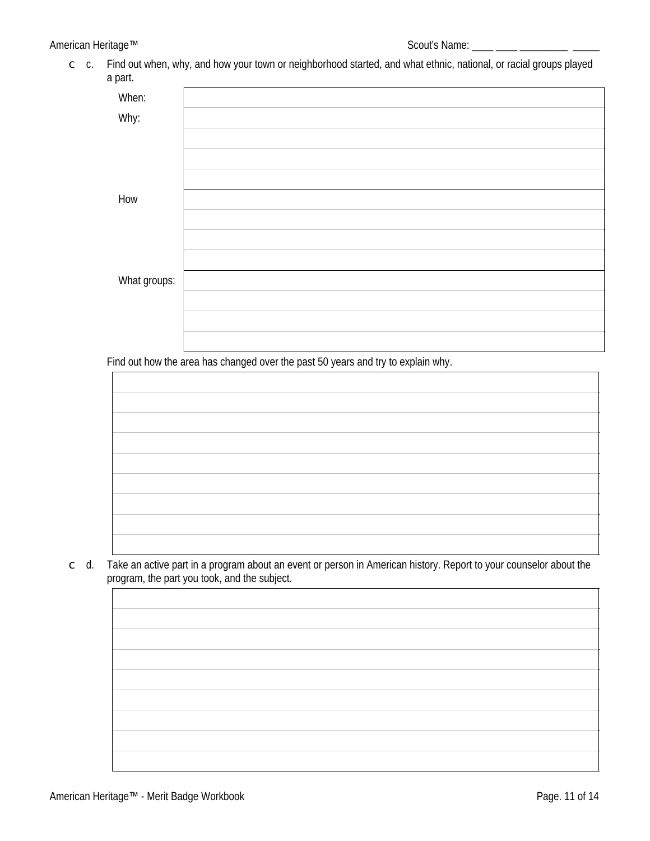c c. Find out when, why, and how your town or neighborhood started, and what ethnic, national, or racial groups played a part.

| When:        |  |
|--------------|--|
| Why:         |  |
|              |  |
|              |  |
|              |  |
|              |  |
|              |  |
| How          |  |
|              |  |
|              |  |
|              |  |
|              |  |
| What groups: |  |
|              |  |
|              |  |
|              |  |
|              |  |
|              |  |

Find out how the area has changed over the past 50 years and try to explain why.

c d. Take an active part in a program about an event or person in American history. Report to your counselor about the program, the part you took, and the subject.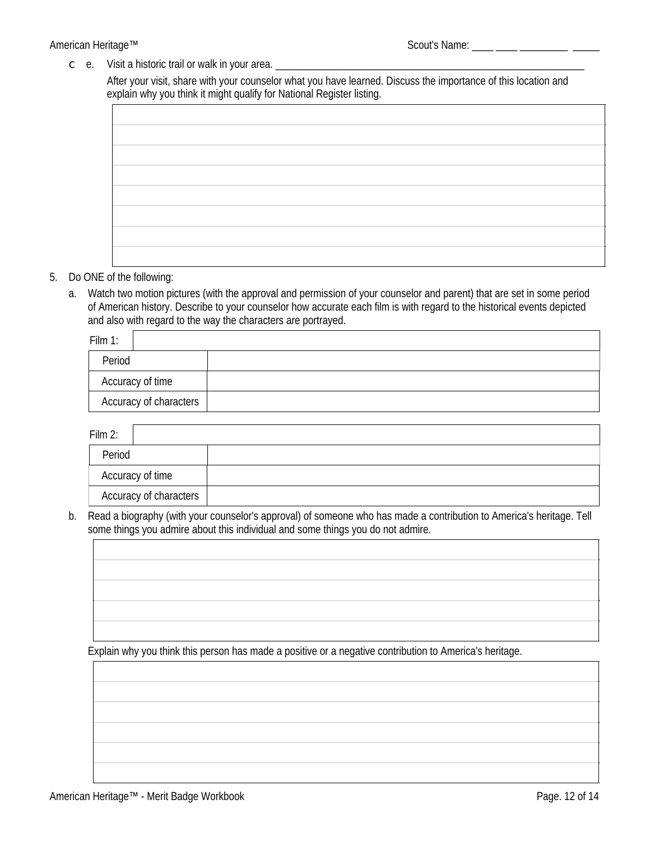#### American Heritage™

c e. Visit a historic trail or walk in your area.

After your visit, share with your counselor what you have learned. Discuss the importance of this location and explain why you think it might qualify for National Register listing.

#### 5. Do ONE of the following:

a. Watch two motion pictures (with the approval and permission of your counselor and parent) that are set in some period of American history. Describe to your counselor how accurate each film is with regard to the historical events depicted and also with regard to the way the characters are portrayed.

| Film $1$ :                    |  |
|-------------------------------|--|
| Period                        |  |
| <b>Accuracy of time</b>       |  |
| <b>Accuracy of characters</b> |  |

Film  $2 \cdot$ 

| Period                        |  |
|-------------------------------|--|
| <b>Accuracy of time</b>       |  |
| <b>Accuracy of characters</b> |  |

b. Read a biography (with your counselor's approval) of someone who has made a contribution to America's heritage. Tell some things you admire about this individual and some things you do not admire.

Explain why you think this person has made a positive or a negative contribution to America's heritage.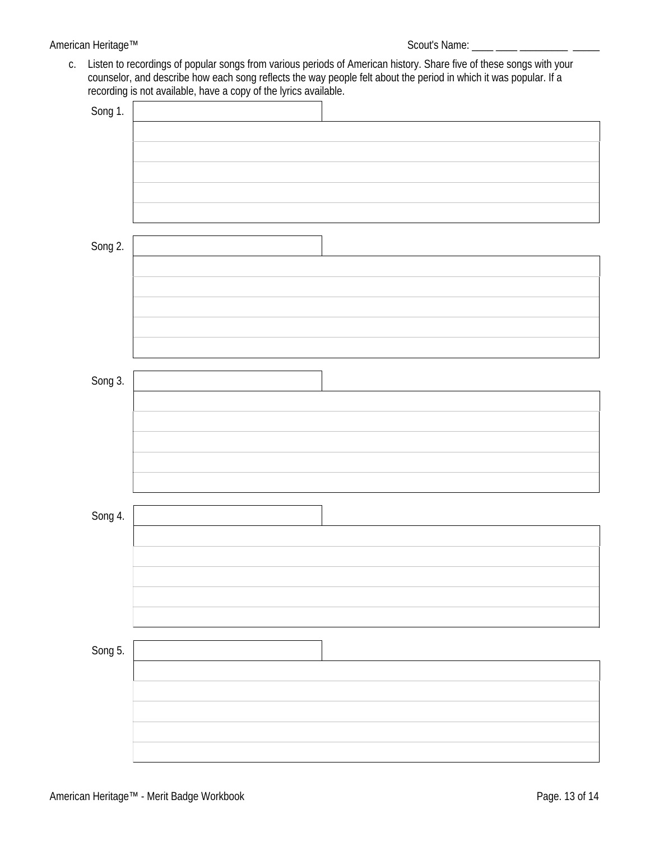## American Heritage™

c. Listen to recordings of popular songs from various periods of American history. Share five of these songs with your counselor, and describe how each song reflects the way people felt about the period in which it was popular. If a recording is not available, have a copy of the lyrics available.

| Song 1. |  |
|---------|--|
|         |  |
|         |  |
|         |  |
|         |  |
|         |  |
|         |  |
| Song 2. |  |
|         |  |
|         |  |
|         |  |
|         |  |
|         |  |
|         |  |
|         |  |
| Song 3. |  |
|         |  |
|         |  |
|         |  |
|         |  |
|         |  |
|         |  |
| Song 4. |  |
|         |  |
|         |  |
|         |  |
|         |  |
|         |  |
|         |  |
| Song 5. |  |
|         |  |
|         |  |
|         |  |
|         |  |
|         |  |
|         |  |